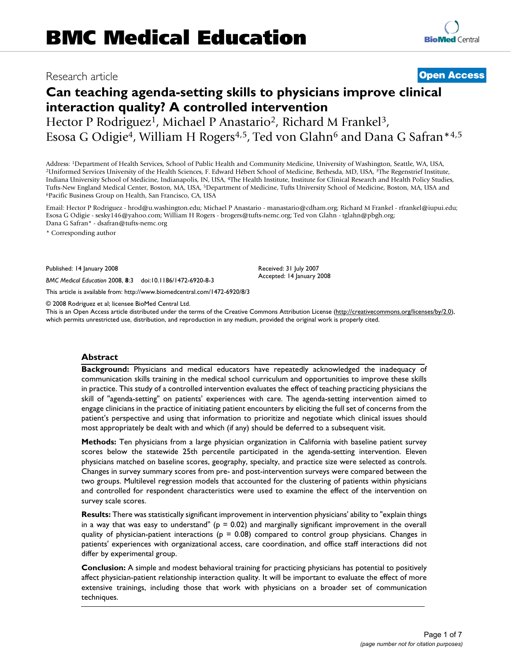## Research article **[Open Access](http://www.biomedcentral.com/info/about/charter/)**

# **Can teaching agenda-setting skills to physicians improve clinical interaction quality? A controlled intervention**

Hector P Rodriguez<sup>1</sup>, Michael P Anastario<sup>2</sup>, Richard M Frankel<sup>3</sup>, Esosa G Odigie<sup>4</sup>, William H Rogers<sup>4,5</sup>, Ted von Glahn<sup>6</sup> and Dana G Safran\*<sup>4,5</sup>

Address: <sup>1</sup>Department of Health Services, School of Public Health and Community Medicine, University of Washington, Seattle, WA, USA, <sup>2</sup>Uniformed Services University of the Health Sciences, F. Edward Hébert School of Med Indiana University School of Medicine, Indianapolis, IN, USA, 4The Health Institute, Institute for Clinical Research and Health Policy Studies, Tufts-New England Medical Center, Boston, MA, USA, <sup>5</sup>Department of Medicine, Tufts University School of Medicine, Boston, MA, USA and <sup>6</sup>Pacific Business Group on Health, San Francisco, CA, USA

Email: Hector P Rodriguez - hrod@u.washington.edu; Michael P Anastario - manastario@cdham.org; Richard M Frankel - rfrankel@iupui.edu; Esosa G Odigie - sesky146@yahoo.com; William H Rogers - brogers@tufts-nemc.org; Ted von Glahn - tglahn@pbgh.org; Dana G Safran\* - dsafran@tufts-nemc.org

> Received: 31 July 2007 Accepted: 14 January 2008

\* Corresponding author

Published: 14 January 2008

*BMC Medical Education* 2008, **8**:3 doi:10.1186/1472-6920-8-3

[This article is available from: http://www.biomedcentral.com/1472-6920/8/3](http://www.biomedcentral.com/1472-6920/8/3)

© 2008 Rodriguez et al; licensee BioMed Central Ltd.

This is an Open Access article distributed under the terms of the Creative Commons Attribution License [\(http://creativecommons.org/licenses/by/2.0\)](http://creativecommons.org/licenses/by/2.0), which permits unrestricted use, distribution, and reproduction in any medium, provided the original work is properly cited.

## **Abstract**

**Background:** Physicians and medical educators have repeatedly acknowledged the inadequacy of communication skills training in the medical school curriculum and opportunities to improve these skills in practice. This study of a controlled intervention evaluates the effect of teaching practicing physicians the skill of "agenda-setting" on patients' experiences with care. The agenda-setting intervention aimed to engage clinicians in the practice of initiating patient encounters by eliciting the full set of concerns from the patient's perspective and using that information to prioritize and negotiate which clinical issues should most appropriately be dealt with and which (if any) should be deferred to a subsequent visit.

**Methods:** Ten physicians from a large physician organization in California with baseline patient survey scores below the statewide 25th percentile participated in the agenda-setting intervention. Eleven physicians matched on baseline scores, geography, specialty, and practice size were selected as controls. Changes in survey summary scores from pre- and post-intervention surveys were compared between the two groups. Multilevel regression models that accounted for the clustering of patients within physicians and controlled for respondent characteristics were used to examine the effect of the intervention on survey scale scores.

**Results:** There was statistically significant improvement in intervention physicians' ability to "explain things in a way that was easy to understand" ( $p = 0.02$ ) and marginally significant improvement in the overall quality of physician-patient interactions ( $p = 0.08$ ) compared to control group physicians. Changes in patients' experiences with organizational access, care coordination, and office staff interactions did not differ by experimental group.

**Conclusion:** A simple and modest behavioral training for practicing physicians has potential to positively affect physician-patient relationship interaction quality. It will be important to evaluate the effect of more extensive trainings, including those that work with physicians on a broader set of communication techniques.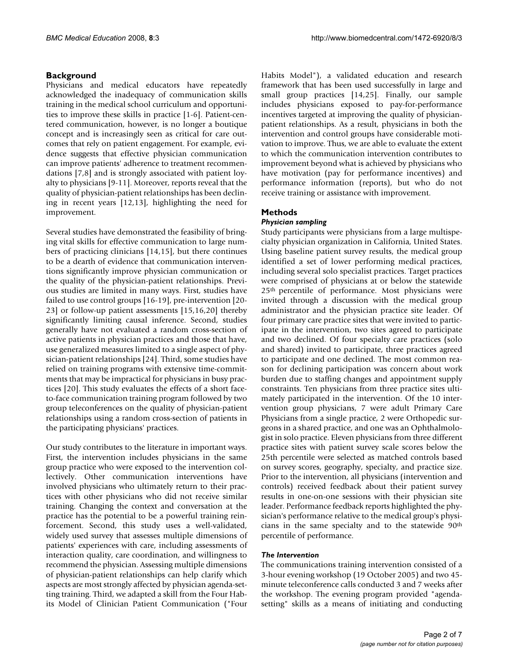## **Background**

Physicians and medical educators have repeatedly acknowledged the inadequacy of communication skills training in the medical school curriculum and opportunities to improve these skills in practice [1-6]. Patient-centered communication, however, is no longer a boutique concept and is increasingly seen as critical for care outcomes that rely on patient engagement. For example, evidence suggests that effective physician communication can improve patients' adherence to treatment recommendations [7,8] and is strongly associated with patient loyalty to physicians [9-11]. Moreover, reports reveal that the quality of physician-patient relationships has been declining in recent years [12,13], highlighting the need for improvement.

Several studies have demonstrated the feasibility of bringing vital skills for effective communication to large numbers of practicing clinicians [14,15], but there continues to be a dearth of evidence that communication interventions significantly improve physician communication or the quality of the physician-patient relationships. Previous studies are limited in many ways. First, studies have failed to use control groups [16-19], pre-intervention [20- 23] or follow-up patient assessments [15,16,20] thereby significantly limiting causal inference. Second, studies generally have not evaluated a random cross-section of active patients in physician practices and those that have, use generalized measures limited to a single aspect of physician-patient relationships [24]. Third, some studies have relied on training programs with extensive time-commitments that may be impractical for physicians in busy practices [20]. This study evaluates the effects of a short faceto-face communication training program followed by two group teleconferences on the quality of physician-patient relationships using a random cross-section of patients in the participating physicians' practices.

Our study contributes to the literature in important ways. First, the intervention includes physicians in the same group practice who were exposed to the intervention collectively. Other communication interventions have involved physicians who ultimately return to their practices with other physicians who did not receive similar training. Changing the context and conversation at the practice has the potential to be a powerful training reinforcement. Second, this study uses a well-validated, widely used survey that assesses multiple dimensions of patients' experiences with care, including assessments of interaction quality, care coordination, and willingness to recommend the physician. Assessing multiple dimensions of physician-patient relationships can help clarify which aspects are most strongly affected by physician agenda-setting training. Third, we adapted a skill from the Four Habits Model of Clinician Patient Communication ("Four Habits Model"), a validated education and research framework that has been used successfully in large and small group practices [14,25]. Finally, our sample includes physicians exposed to pay-for-performance incentives targeted at improving the quality of physicianpatient relationships. As a result, physicians in both the intervention and control groups have considerable motivation to improve. Thus, we are able to evaluate the extent to which the communication intervention contributes to improvement beyond what is achieved by physicians who have motivation (pay for performance incentives) and performance information (reports), but who do not receive training or assistance with improvement.

## **Methods**

## *Physician sampling*

Study participants were physicians from a large multispecialty physician organization in California, United States. Using baseline patient survey results, the medical group identified a set of lower performing medical practices, including several solo specialist practices. Target practices were comprised of physicians at or below the statewide 25th percentile of performance. Most physicians were invited through a discussion with the medical group administrator and the physician practice site leader. Of four primary care practice sites that were invited to participate in the intervention, two sites agreed to participate and two declined. Of four specialty care practices (solo and shared) invited to participate, three practices agreed to participate and one declined. The most common reason for declining participation was concern about work burden due to staffing changes and appointment supply constraints. Ten physicians from three practice sites ultimately participated in the intervention. Of the 10 intervention group physicians, 7 were adult Primary Care Physicians from a single practice, 2 were Orthopedic surgeons in a shared practice, and one was an Ophthalmologist in solo practice. Eleven physicians from three different practice sites with patient survey scale scores below the 25th percentile were selected as matched controls based on survey scores, geography, specialty, and practice size. Prior to the intervention, all physicians (intervention and controls) received feedback about their patient survey results in one-on-one sessions with their physician site leader. Performance feedback reports highlighted the physician's performance relative to the medical group's physicians in the same specialty and to the statewide 90th percentile of performance.

## *The Intervention*

The communications training intervention consisted of a 3-hour evening workshop (19 October 2005) and two 45 minute teleconference calls conducted 3 and 7 weeks after the workshop. The evening program provided "agendasetting" skills as a means of initiating and conducting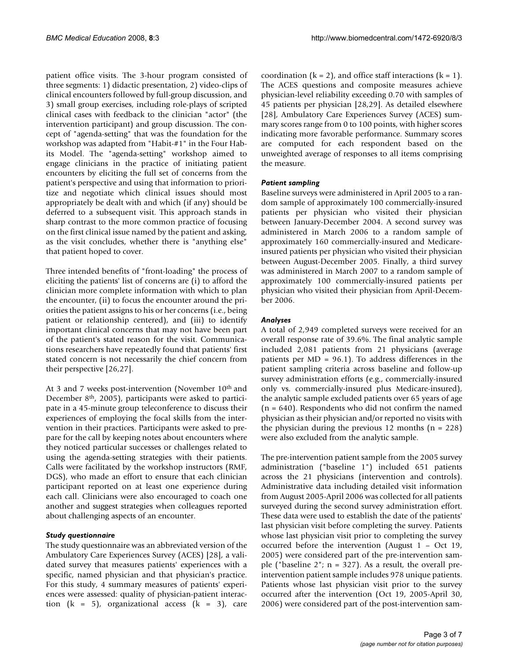patient office visits. The 3-hour program consisted of three segments: 1) didactic presentation, 2) video-clips of clinical encounters followed by full-group discussion, and 3) small group exercises, including role-plays of scripted clinical cases with feedback to the clinician "actor" (the intervention participant) and group discussion. The concept of "agenda-setting" that was the foundation for the workshop was adapted from "Habit-#1" in the Four Habits Model. The "agenda-setting" workshop aimed to engage clinicians in the practice of initiating patient encounters by eliciting the full set of concerns from the patient's perspective and using that information to prioritize and negotiate which clinical issues should most appropriately be dealt with and which (if any) should be deferred to a subsequent visit. This approach stands in sharp contrast to the more common practice of focusing on the first clinical issue named by the patient and asking, as the visit concludes, whether there is "anything else" that patient hoped to cover.

Three intended benefits of "front-loading" the process of eliciting the patients' list of concerns are (i) to afford the clinician more complete information with which to plan the encounter, (ii) to focus the encounter around the priorities the patient assigns to his or her concerns (i.e., being patient or relationship centered), and (iii) to identify important clinical concerns that may not have been part of the patient's stated reason for the visit. Communications researchers have repeatedly found that patients' first stated concern is not necessarily the chief concern from their perspective [26,27].

At 3 and 7 weeks post-intervention (November 10th and December 8<sup>th</sup>, 2005), participants were asked to participate in a 45-minute group teleconference to discuss their experiences of employing the focal skills from the intervention in their practices. Participants were asked to prepare for the call by keeping notes about encounters where they noticed particular successes or challenges related to using the agenda-setting strategies with their patients. Calls were facilitated by the workshop instructors (RMF, DGS), who made an effort to ensure that each clinician participant reported on at least one experience during each call. Clinicians were also encouraged to coach one another and suggest strategies when colleagues reported about challenging aspects of an encounter.

## *Study questionnaire*

The study questionnaire was an abbreviated version of the Ambulatory Care Experiences Survey (ACES) [28], a validated survey that measures patients' experiences with a specific, named physician and that physician's practice. For this study, 4 summary measures of patients' experiences were assessed: quality of physician-patient interaction  $(k = 5)$ , organizational access  $(k = 3)$ , care coordination ( $k = 2$ ), and office staff interactions ( $k = 1$ ). The ACES questions and composite measures achieve physician-level reliability exceeding 0.70 with samples of 45 patients per physician [28,29]. As detailed elsewhere [28], Ambulatory Care Experiences Survey (ACES) summary scores range from 0 to 100 points, with higher scores indicating more favorable performance. Summary scores are computed for each respondent based on the unweighted average of responses to all items comprising the measure.

## *Patient sampling*

Baseline surveys were administered in April 2005 to a random sample of approximately 100 commercially-insured patients per physician who visited their physician between January-December 2004. A second survey was administered in March 2006 to a random sample of approximately 160 commercially-insured and Medicareinsured patients per physician who visited their physician between August-December 2005. Finally, a third survey was administered in March 2007 to a random sample of approximately 100 commercially-insured patients per physician who visited their physician from April-December 2006.

## *Analyses*

A total of 2,949 completed surveys were received for an overall response rate of 39.6%. The final analytic sample included 2,081 patients from 21 physicians (average patients per MD = 96.1). To address differences in the patient sampling criteria across baseline and follow-up survey administration efforts (e.g., commercially-insured only vs. commercially-insured plus Medicare-insured), the analytic sample excluded patients over 65 years of age (n = 640). Respondents who did not confirm the named physician as their physician and/or reported no visits with the physician during the previous 12 months  $(n = 228)$ were also excluded from the analytic sample.

The pre-intervention patient sample from the 2005 survey administration ("baseline 1") included 651 patients across the 21 physicians (intervention and controls). Administrative data including detailed visit information from August 2005-April 2006 was collected for all patients surveyed during the second survey administration effort. These data were used to establish the date of the patients' last physician visit before completing the survey. Patients whose last physician visit prior to completing the survey occurred before the intervention (August 1 – Oct 19, 2005) were considered part of the pre-intervention sample ("baseline  $2$ "; n = 327). As a result, the overall preintervention patient sample includes 978 unique patients. Patients whose last physician visit prior to the survey occurred after the intervention (Oct 19, 2005-April 30, 2006) were considered part of the post-intervention sam-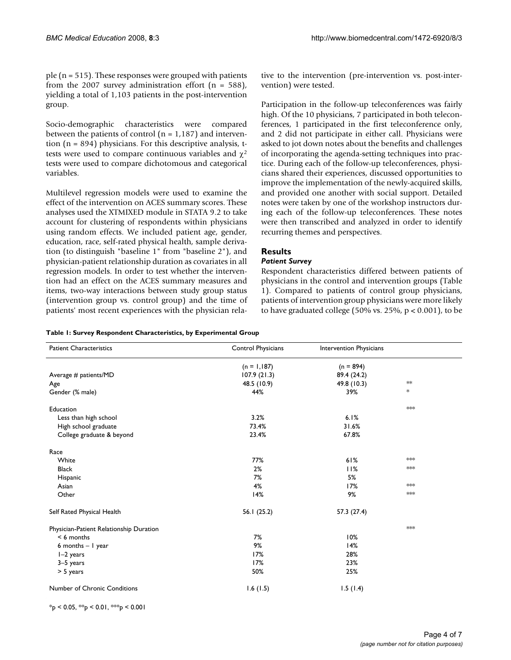ple ( $n = 515$ ). These responses were grouped with patients from the 2007 survey administration effort  $(n = 588)$ , yielding a total of 1,103 patients in the post-intervention group.

Socio-demographic characteristics were compared between the patients of control ( $n = 1,187$ ) and intervention (n = 894) physicians. For this descriptive analysis, ttests were used to compare continuous variables and  $\chi^2$ tests were used to compare dichotomous and categorical variables.

Multilevel regression models were used to examine the effect of the intervention on ACES summary scores. These analyses used the XTMIXED module in STATA 9.2 to take account for clustering of respondents within physicians using random effects. We included patient age, gender, education, race, self-rated physical health, sample derivation (to distinguish "baseline 1" from "baseline 2"), and physician-patient relationship duration as covariates in all regression models. In order to test whether the intervention had an effect on the ACES summary measures and items, two-way interactions between study group status (intervention group vs. control group) and the time of patients' most recent experiences with the physician relative to the intervention (pre-intervention vs. post-intervention) were tested.

Participation in the follow-up teleconferences was fairly high. Of the 10 physicians, 7 participated in both teleconferences, 1 participated in the first teleconference only, and 2 did not participate in either call. Physicians were asked to jot down notes about the benefits and challenges of incorporating the agenda-setting techniques into practice. During each of the follow-up teleconferences, physicians shared their experiences, discussed opportunities to improve the implementation of the newly-acquired skills, and provided one another with social support. Detailed notes were taken by one of the workshop instructors during each of the follow-up teleconferences. These notes were then transcribed and analyzed in order to identify recurring themes and perspectives.

## **Results**

## *Patient Survey*

Respondent characteristics differed between patients of physicians in the control and intervention groups (Table 1). Compared to patients of control group physicians, patients of intervention group physicians were more likely to have graduated college (50% vs.  $25%$ ,  $p < 0.001$ ), to be

| <b>Patient Characteristics</b>          | Control Physicians | Intervention Physicians |     |
|-----------------------------------------|--------------------|-------------------------|-----|
|                                         | $(n = 1, 187)$     | $(n = 894)$             |     |
| Average # patients/MD                   | 107.9(21.3)        | 89.4 (24.2)             |     |
| Age                                     | 48.5 (10.9)        | 49.8 (10.3)             | $*$ |
| Gender (% male)                         | 44%                | 39%                     | $*$ |
| Education                               |                    |                         | $*$ |
| Less than high school                   | 3.2%               | 6.1%                    |     |
| High school graduate                    | 73.4%              | 31.6%                   |     |
| College graduate & beyond               | 23.4%              | 67.8%                   |     |
| Race                                    |                    |                         |     |
| White                                   | 77%                | 61%                     | $*$ |
| <b>Black</b>                            | 2%                 | 11%                     | $*$ |
| Hispanic                                | 7%                 | 5%                      |     |
| Asian                                   | 4%                 | 17%                     | $*$ |
| Other                                   | 14%                | 9%                      | $*$ |
| Self Rated Physical Health              | 56.1 (25.2)        | 57.3 (27.4)             |     |
| Physician-Patient Relationship Duration |                    |                         | $*$ |
| $< 6$ months                            | 7%                 | 10%                     |     |
| 6 months $-1$ year                      | 9%                 | 14%                     |     |
| I-2 years                               | 17%                | 28%                     |     |
| 3-5 years                               | 17%                | 23%                     |     |
| > 5 years                               | 50%                | 25%                     |     |
| Number of Chronic Conditions            | 1.6(1.5)           | 1.5(1.4)                |     |

 $*_{p}$  < 0.05,  $*_{p}$  < 0.01,  $*_{p}$  < 0.001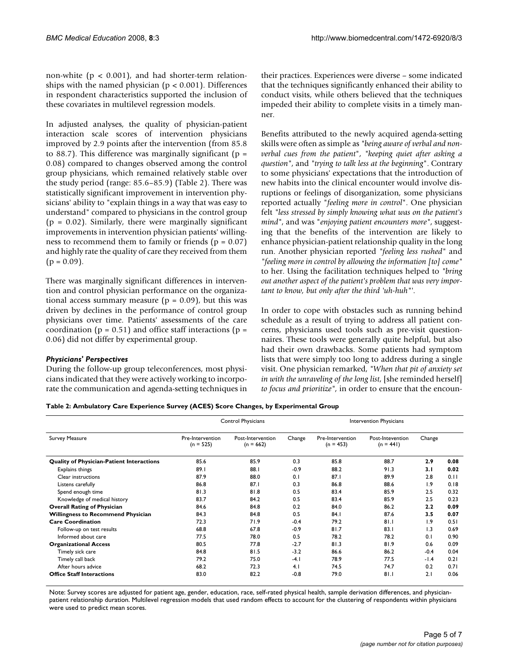non-white ( $p < 0.001$ ), and had shorter-term relationships with the named physician ( $p < 0.001$ ). Differences in respondent characteristics supported the inclusion of these covariates in multilevel regression models.

In adjusted analyses, the quality of physician-patient interaction scale scores of intervention physicians improved by 2.9 points after the intervention (from 85.8 to 88.7). This difference was marginally significant ( $p =$ 0.08) compared to changes observed among the control group physicians, which remained relatively stable over the study period (range: 85.6–85.9) (Table 2). There was statistically significant improvement in intervention physicians' ability to "explain things in a way that was easy to understand" compared to physicians in the control group  $(p = 0.02)$ . Similarly, there were marginally significant improvements in intervention physician patients' willingness to recommend them to family or friends ( $p = 0.07$ ) and highly rate the quality of care they received from them  $(p = 0.09)$ .

There was marginally significant differences in intervention and control physician performance on the organizational access summary measure ( $p = 0.09$ ), but this was driven by declines in the performance of control group physicians over time. Patients' assessments of the care coordination ( $p = 0.51$ ) and office staff interactions ( $p =$ 0.06) did not differ by experimental group.

## *Physicians' Perspectives*

During the follow-up group teleconferences, most physicians indicated that they were actively working to incorporate the communication and agenda-setting techniques in their practices. Experiences were diverse – some indicated that the techniques significantly enhanced their ability to conduct visits, while others believed that the techniques impeded their ability to complete visits in a timely manner.

Benefits attributed to the newly acquired agenda-setting skills were often as simple as *"being aware of verbal and nonverbal cues from the patient*", *"keeping quiet after asking a question"*, and *"trying to talk less at the beginning*". Contrary to some physicians' expectations that the introduction of new habits into the clinical encounter would involve disruptions or feelings of disorganization, some physicians reported actually "*feeling more in control*". One physician felt *"less stressed by simply knowing what was on the patient's mind"*, and was "*enjoying patient encounters more"*, suggesting that the benefits of the intervention are likely to enhance physician-patient relationship quality in the long run. Another physician reported *"feeling less rushed"* and *"feeling more in control by allowing the information [to] come"* to her. Using the facilitation techniques helped to *"bring out another aspect of the patient's problem that was very important to know, but only after the third 'uh-huh"'*.

In order to cope with obstacles such as running behind schedule as a result of trying to address all patient concerns, physicians used tools such as pre-visit questionnaires. These tools were generally quite helpful, but also had their own drawbacks. Some patients had symptom lists that were simply too long to address during a single visit. One physician remarked, *"When that pit of anxiety set in with the unraveling of the long list*, [she reminded herself] *to focus and prioritize"*, in order to ensure that the encoun-

|  |  |  | Table 2: Ambulatory Care Experience Survey (ACES) Score Changes, by Experimental Group |  |
|--|--|--|----------------------------------------------------------------------------------------|--|
|--|--|--|----------------------------------------------------------------------------------------|--|

|                                                  | <b>Control Physicians</b>       |                                  | Intervention Physicians |                                 |                                 |        |      |
|--------------------------------------------------|---------------------------------|----------------------------------|-------------------------|---------------------------------|---------------------------------|--------|------|
| <b>Survey Measure</b>                            | Pre-Intervention<br>$(n = 525)$ | Post-Intervention<br>$(n = 662)$ | Change                  | Pre-Intervention<br>$(n = 453)$ | Post-Intevention<br>$(n = 441)$ | Change |      |
| <b>Quality of Physician-Patient Interactions</b> | 85.6                            | 85.9                             | 0.3                     | 85.8                            | 88.7                            | 2.9    | 0.08 |
| Explains things                                  | 89.1                            | 88.1                             | $-0.9$                  | 88.2                            | 91.3                            | 3.1    | 0.02 |
| Clear instructions                               | 87.9                            | 88.0                             | 0.1                     | 87.1                            | 89.9                            | 2.8    | 0.11 |
| Listens carefully                                | 86.8                            | 87.1                             | 0.3                     | 86.8                            | 88.6                            | 1.9    | 0.18 |
| Spend enough time                                | 81.3                            | 81.8                             | 0.5                     | 83.4                            | 85.9                            | 2.5    | 0.32 |
| Knowledge of medical history                     | 83.7                            | 84.2                             | 0.5                     | 83.4                            | 85.9                            | 2.5    | 0.23 |
| <b>Overall Rating of Physician</b>               | 84.6                            | 84.8                             | 0.2                     | 84.0                            | 86.2                            | 2.2    | 0.09 |
| <b>Willingness to Recommend Physician</b>        | 84.3                            | 84.8                             | 0.5                     | 84.1                            | 87.6                            | 3.5    | 0.07 |
| <b>Care Coordination</b>                         | 72.3                            | 71.9                             | $-0.4$                  | 79.2                            | 81.1                            | 1.9    | 0.51 |
| Follow-up on test results                        | 68.8                            | 67.8                             | $-0.9$                  | 81.7                            | 83.1                            | 1.3    | 0.69 |
| Informed about care                              | 77.5                            | 78.0                             | 0.5                     | 78.2                            | 78.2                            | 0.1    | 0.90 |
| <b>Organizational Access</b>                     | 80.5                            | 77.8                             | $-2.7$                  | 81.3                            | 81.9                            | 0.6    | 0.09 |
| Timely sick care                                 | 84.8                            | 81.5                             | $-3.2$                  | 86.6                            | 86.2                            | $-0.4$ | 0.04 |
| Timely call back                                 | 79.2                            | 75.0                             | $-4.1$                  | 78.9                            | 77.5                            | $-1.4$ | 0.21 |
| After hours advice                               | 68.2                            | 72.3                             | 4.1                     | 74.5                            | 74.7                            | 0.2    | 0.71 |
| <b>Office Staff Interactions</b>                 | 83.0                            | 82.2                             | $-0.8$                  | 79.0                            | 81.1                            | 2.1    | 0.06 |

Note: Survey scores are adjusted for patient age, gender, education, race, self-rated physical health, sample derivation differences, and physicianpatient relationship duration. Multilevel regression models that used random effects to account for the clustering of respondents within physicians were used to predict mean scores.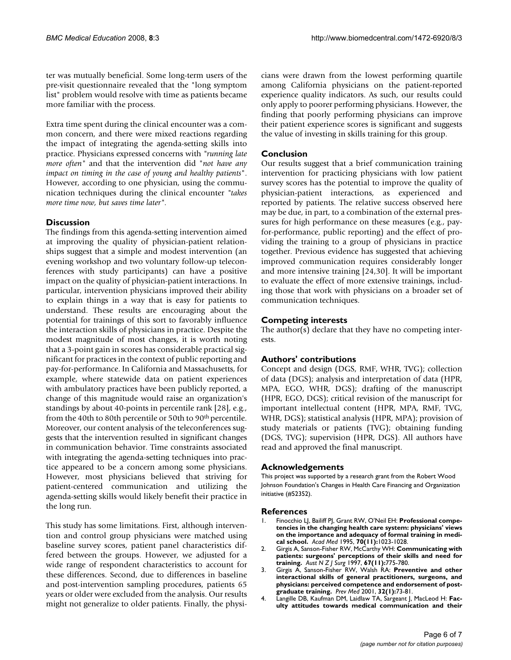ter was mutually beneficial. Some long-term users of the pre-visit questionnaire revealed that the "long symptom list" problem would resolve with time as patients became more familiar with the process.

Extra time spent during the clinical encounter was a common concern, and there were mixed reactions regarding the impact of integrating the agenda-setting skills into practice. Physicians expressed concerns with *"running late more often"* and that the intervention did "*not have any impact on timing in the case of young and healthy patients*". However, according to one physician, using the communication techniques during the clinical encounter *"takes more time now, but saves time later"*.

## **Discussion**

The findings from this agenda-setting intervention aimed at improving the quality of physician-patient relationships suggest that a simple and modest intervention (an evening workshop and two voluntary follow-up teleconferences with study participants) can have a positive impact on the quality of physician-patient interactions. In particular, intervention physicians improved their ability to explain things in a way that is easy for patients to understand. These results are encouraging about the potential for trainings of this sort to favorably influence the interaction skills of physicians in practice. Despite the modest magnitude of most changes, it is worth noting that a 3-point gain in scores has considerable practical significant for practices in the context of public reporting and pay-for-performance. In California and Massachusetts, for example, where statewide data on patient experiences with ambulatory practices have been publicly reported, a change of this magnitude would raise an organization's standings by about 40-points in percentile rank [28], e.g., from the 40th to 80th percentile or 50th to 90th percentile. Moreover, our content analysis of the teleconferences suggests that the intervention resulted in significant changes in communication behavior. Time constraints associated with integrating the agenda-setting techniques into practice appeared to be a concern among some physicians. However, most physicians believed that striving for patient-centered communication and utilizing the agenda-setting skills would likely benefit their practice in the long run.

This study has some limitations. First, although intervention and control group physicians were matched using baseline survey scores, patient panel characteristics differed between the groups. However, we adjusted for a wide range of respondent characteristics to account for these differences. Second, due to differences in baseline and post-intervention sampling procedures, patients 65 years or older were excluded from the analysis. Our results might not generalize to older patients. Finally, the physicians were drawn from the lowest performing quartile among California physicians on the patient-reported experience quality indicators. As such, our results could only apply to poorer performing physicians. However, the finding that poorly performing physicians can improve their patient experience scores is significant and suggests the value of investing in skills training for this group.

## **Conclusion**

Our results suggest that a brief communication training intervention for practicing physicians with low patient survey scores has the potential to improve the quality of physician-patient interactions, as experienced and reported by patients. The relative success observed here may be due, in part, to a combination of the external pressures for high performance on these measures (e.g., payfor-performance, public reporting) and the effect of providing the training to a group of physicians in practice together. Previous evidence has suggested that achieving improved communication requires considerably longer and more intensive training [24,30]. It will be important to evaluate the effect of more extensive trainings, including those that work with physicians on a broader set of communication techniques.

## **Competing interests**

The author(s) declare that they have no competing interests.

## **Authors' contributions**

Concept and design (DGS, RMF, WHR, TVG); collection of data (DGS); analysis and interpretation of data (HPR, MPA, EGO, WHR, DGS); drafting of the manuscript (HPR, EGO, DGS); critical revision of the manuscript for important intellectual content (HPR, MPA, RMF, TVG, WHR, DGS); statistical analysis (HPR, MPA); provision of study materials or patients (TVG); obtaining funding (DGS, TVG); supervision (HPR, DGS). All authors have read and approved the final manuscript.

## **Acknowledgements**

This project was supported by a research grant from the Robert Wood Johnson Foundation's Changes in Health Care Financing and Organization initiative (#52352).

#### **References**

- 1. Finocchio LJ, Bailiff PJ, Grant RW, O'Neil EH: **[Professional compe](http://www.ncbi.nlm.nih.gov/entrez/query.fcgi?cmd=Retrieve&db=PubMed&dopt=Abstract&list_uids=7575930)tencies in the changing health care system: physicians' views [on the importance and adequacy of formal training in medi](http://www.ncbi.nlm.nih.gov/entrez/query.fcgi?cmd=Retrieve&db=PubMed&dopt=Abstract&list_uids=7575930)[cal school.](http://www.ncbi.nlm.nih.gov/entrez/query.fcgi?cmd=Retrieve&db=PubMed&dopt=Abstract&list_uids=7575930)** *Acad Med* 1995, **70(11):**1023-1028.
- 2. Girgis A, Sanson-Fisher RW, McCarthy WH: **[Communicating with](http://www.ncbi.nlm.nih.gov/entrez/query.fcgi?cmd=Retrieve&db=PubMed&dopt=Abstract&list_uids=9396993) [patients: surgeons' perceptions of their skills and need for](http://www.ncbi.nlm.nih.gov/entrez/query.fcgi?cmd=Retrieve&db=PubMed&dopt=Abstract&list_uids=9396993) [training.](http://www.ncbi.nlm.nih.gov/entrez/query.fcgi?cmd=Retrieve&db=PubMed&dopt=Abstract&list_uids=9396993)** *Aust N Z J Surg* 1997, **67(11):**775-780.
- 3. Girgis A, Sanson-Fisher RW, Walsh RA: **[Preventive and other](http://www.ncbi.nlm.nih.gov/entrez/query.fcgi?cmd=Retrieve&db=PubMed&dopt=Abstract&list_uids=11162329) interactional skills of general practitioners, surgeons, and [physicians: perceived competence and endorsement of post](http://www.ncbi.nlm.nih.gov/entrez/query.fcgi?cmd=Retrieve&db=PubMed&dopt=Abstract&list_uids=11162329)[graduate training.](http://www.ncbi.nlm.nih.gov/entrez/query.fcgi?cmd=Retrieve&db=PubMed&dopt=Abstract&list_uids=11162329)** *Prev Med* 2001, **32(1):**73-81.
- 4. Langille DB, Kaufman DM, Laidlaw TA, Sargeant J, MacLeod H: **[Fac](http://www.ncbi.nlm.nih.gov/entrez/query.fcgi?cmd=Retrieve&db=PubMed&dopt=Abstract&list_uids=11380857)[ulty attitudes towards medical communication and their](http://www.ncbi.nlm.nih.gov/entrez/query.fcgi?cmd=Retrieve&db=PubMed&dopt=Abstract&list_uids=11380857)**